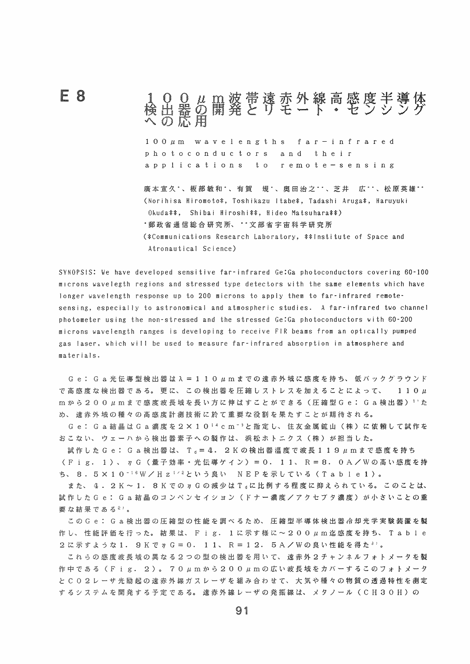## 100µm波帯遠赤外線高感度半導体<br>検出器の開発とリモート・センシング

 $100 \mu m$  wavelengths far-infrared photoconductors and their applications to remote-sensing

F 8

廣本宣久\*、板部敏和\*、有賀 規\*、奥田治之\*\*、芝井 広\*\*、松原英雄\*\* (Norihisa Hiromoto\*, Toshikazu Itabe\*, Tadashi Aruga\*, Haruyuki Okuda\*\*, Shibai Hiroshi\*\*, Hideo Matsuhara\*\*) \*郵政省通信総合研究所、 \*\* 文部省宇宙科学研究所 (\*Communications Research Laboratory, \*\*Institute of Space and Atronautical Science)

SYNOPSIS: We have developed sensitive far-infrared Ge:Ga photoconductors covering 60-100 microns wavelegth regions and stressed type detectors with the same elements which have longer wavelength response up to 200 microns to apply them to far-infrared remotesensing, especially to astronomical and atmospheric studies. A far-infrared two channel photometer using the non-stressed and the stressed Ge:Ga photoconductors with 60-200 microns wavelength ranges is developing to receive FIR beams from an optically pumped gas laser, which will be used to measure far-infrared absorption in atmosphere and materials.

Ge: Ga光伝導型検出器は  $\lambda = 1 1 0 \mu$ m までの遠赤外域に感度を持ち、低バックグラウンド で高感度な検出器である。更に、この検出器を圧縮しストレスを加えることによって、  $110 \mu$ m から200µmまで感度波長域を長い方に伸はすことができる(圧縮型Ge: Ga検出器) 1'た め、遠赤外域の種々の高感度計測技術に於て重要な役割を果たすことが期待される。

Ge: Ga結晶は Ga 濃度を 2 × 1 0 14 cm <sup>- 3</sup> と指定し、住友金属鉱山 (株) に依頼して試作を おこない、ウェーハから検出器素子への製作は、浜松ホトニクス(株)が担当した。

試作した Ge: Ga検出器は、 T<sub>s</sub> = 4. 2Kの検出器温度で波長 1 1 9μmまで感度を持ち (Fig. 1)、 η G (量子効率・光伝導ゲイン) = 0. 11、 R = 8. 0 A / W の高い感度を持 ち、8.5×10<sup>-16</sup>W/Hz<sup>12</sup>という良い NEPを示している(Table1)。

また、4.2K~1.8KでのηGの減少はT』に比例する程度に抑えられている。このことは、 試作したGe: Ga結晶のコンペンセイション(ドナー濃度/アクセプタ濃度)が小さいことの重 要な結果である<sup>2</sup>)。

この Ge : Ga検出器の圧縮型の性能を調べるため、圧縮型半導体検出器冷却光学実験装置を製 作し、性能評価を行った。結果は、Fig. 1に示す様に~200µm迄感度を持ち、Table 2 に示すような 1. 9 K で η G = 0. 1 1、 R = 1 2. 5 A / W の良い性能を得た<sup>3</sup>'。

これらの感度波長域の異なる2つの型の検出器を用いて、遠赤外2チャンネルフォトメータを製 作中である (Fig. 2)。 70μmから200μmの広い波長域をカバーするこのフォトメータ と C O 2 レ ー ザ 光 励 起 の 遠 赤 外 緑 ガ ス レ ー ザ を 組 み 合 わ せ て、 大 気 や 種 々 の 物 質 の 透 過 特 性 を 測 定 するシステムを開発する予定である。遠赤外線レーザの発振線は、メタノール(CH30H)の